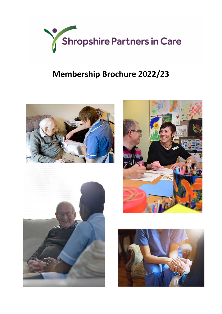

# **Membership Brochure 2022/23**







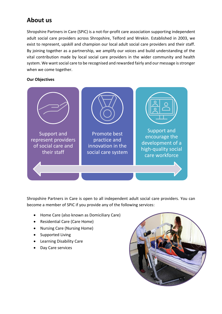### **About us**

Shropshire Partners in Care (SPiC) is a not-for-profit care association supporting independent adult social care providers across Shropshire, Telford and Wrekin. Established in 2003, we exist to represent, upskill and champion our local adult social care providers and their staff. By joining together as a partnership, we amplify our voices and build understanding of the vital contribution made by local social care providers in the wider community and health system. We want social care to be recognised and rewarded fairly and our message is stronger when we come together.

#### **Our Objectives**



Shropshire Partners in Care is open to all independent adult social care providers. You can become a member of SPiC if you provide any of the following services:

- Home Care (also known as Domiciliary Care)
- Residential Care (Care Home)
- Nursing Care (Nursing Home)
- Supported Living
- Learning Disability Care
- Day Care services

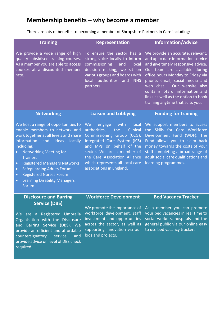## **Membership benefits – why become a member**

There are lots of benefits to becoming a member of Shropshire Partners in Care including:

| <b>Training</b>                                                                                                                                                                                                                                                                                                                                                                                                                                         | <b>Representation</b>                                                                                                                                                                                                                                                                    | <b>Information/Advice</b>                                                                                                                                                                                                                                                                                                                                             |
|---------------------------------------------------------------------------------------------------------------------------------------------------------------------------------------------------------------------------------------------------------------------------------------------------------------------------------------------------------------------------------------------------------------------------------------------------------|------------------------------------------------------------------------------------------------------------------------------------------------------------------------------------------------------------------------------------------------------------------------------------------|-----------------------------------------------------------------------------------------------------------------------------------------------------------------------------------------------------------------------------------------------------------------------------------------------------------------------------------------------------------------------|
| We provide a wide range of high<br>quality subsidised training courses.<br>As a member you are able to access<br>courses at a discounted member<br>rate.                                                                                                                                                                                                                                                                                                | To ensure the sector has a<br>strong voice locally to inform<br>commissioning<br>and<br>local<br>decision making, we sit on<br>various groups and boards with<br>local authorities<br>and<br><b>NHS</b><br>partners.                                                                     | We provide an accurate, relevant,<br>and up to date information service<br>and give timely responsive advice.<br>Our team are available during<br>office hours Monday to Friday via<br>phone, email, social media and<br>web chat.<br>Our website also<br>contains lots of information and<br>links as well as the option to book<br>training anytime that suits you. |
| <b>Networking</b>                                                                                                                                                                                                                                                                                                                                                                                                                                       | <b>Liaison and Lobbying</b>                                                                                                                                                                                                                                                              | <b>Funding for training</b>                                                                                                                                                                                                                                                                                                                                           |
| We host a range of opportunities to<br>enable members to network and<br>work together at all levels and share<br>information<br>ideas<br>locally<br>and<br>including:<br><b>Networking Meeting for</b><br>$\bullet$<br><b>Trainers</b><br><b>Registered Managers Networks</b><br>$\bullet$<br><b>Safeguarding Adults Forum</b><br>$\bullet$<br><b>Registered Nurses Forum</b><br>$\bullet$<br><b>Learning Disability Managers</b><br>$\bullet$<br>Forum | We<br>engage<br>with<br>local<br>authorities,<br>Clinical<br>the<br>Commissioning Group (CCG),<br>Integrated Care System (ICS)<br>and MPs on behalf of the<br>sector. We are a member of<br>the Care Association Alliance<br>which represents all local care<br>associations in England. | We support members to access<br>the Skills for Care Workforce<br>Development Fund (WDF). The<br>Fund allows you to claim back<br>money towards the costs of your<br>staff completing a broad range of<br>adult social care qualifications and<br>learning programmes.                                                                                                 |
| <b>Disclosure and Barring</b><br><b>Service (DBS)</b><br>We are a Registered Umbrella<br>Organisation with the Disclosure<br>and Barring Service (DBS). We<br>provide an efficient and affordable<br>countersignatory<br>service<br>and<br>provide advice on level of DBS check<br>required.                                                                                                                                                            | <b>Workforce Development</b><br>We promote the importance of<br>workforce development, staff<br>investment and opportunities<br>across the sector, as well as<br>supporting innovation via our<br>bids and projects.                                                                     | <b>Bed Vacancy Tracker</b><br>As a member you can promote<br>your bed vacancies in real time to<br>social workers, hospitals and the<br>general public via our online easy<br>to use bed vacancy tracker.                                                                                                                                                             |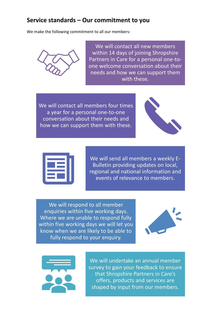#### **Service standards – Our commitment to you**

We make the following commitment to all our members:



We will contact all new members within 14 days of joining Shropshire Partners in Care for a personal one-toone welcome conversation about their needs and how we can support them with these.

We will contact all members four times a year for a personal one-to-one conversation about their needs and how we can support them with these.





We will send all members a weekly E-Bulletin providing updates on local, regional and national information and events of relevance to members.

We will respond to all member enquiries within five working days. Where we are unable to respond fully within five working days we will let you know when we are likely to be able to fully respond to your enquiry.





We will undertake an annual member survey to gain your feedback to ensure that Shropshire Partners in Care's offers, products and services are shaped by input from our members.